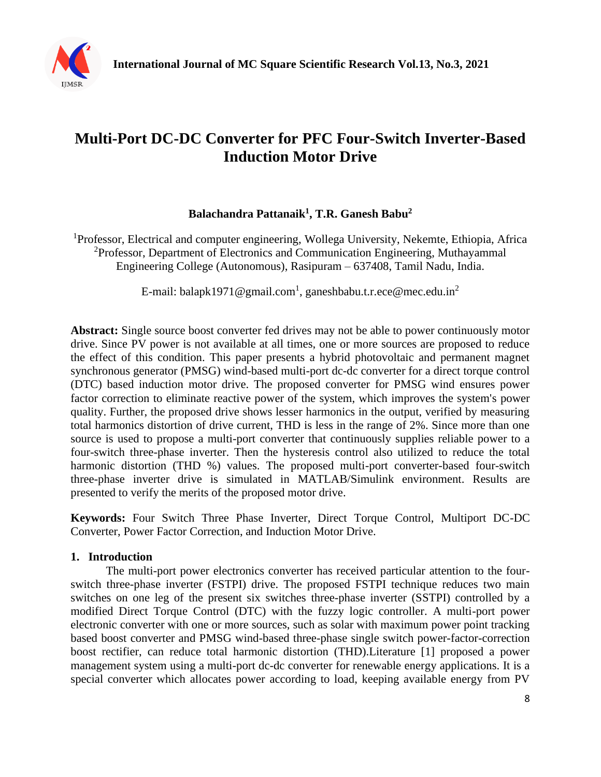

# **Multi-Port DC-DC Converter for PFC Four-Switch Inverter-Based Induction Motor Drive**

# **Balachandra Pattanaik<sup>1</sup> , T.R. Ganesh Babu<sup>2</sup>**

<sup>1</sup>Professor, Electrical and computer engineering, Wollega University, Nekemte, Ethiopia, Africa <sup>2</sup>Professor, Department of Electronics and Communication Engineering, Muthayammal Engineering College (Autonomous), Rasipuram – 637408, Tamil Nadu, India.

E-mail: balapk1971@gmail.com<sup>1</sup>, ganeshbabu.t.r.ece@mec.edu.in<sup>2</sup>

**Abstract:** Single source boost converter fed drives may not be able to power continuously motor drive. Since PV power is not available at all times, one or more sources are proposed to reduce the effect of this condition. This paper presents a hybrid photovoltaic and permanent magnet synchronous generator (PMSG) wind-based multi-port dc-dc converter for a direct torque control (DTC) based induction motor drive. The proposed converter for PMSG wind ensures power factor correction to eliminate reactive power of the system, which improves the system's power quality. Further, the proposed drive shows lesser harmonics in the output, verified by measuring total harmonics distortion of drive current, THD is less in the range of 2%. Since more than one source is used to propose a multi-port converter that continuously supplies reliable power to a four-switch three-phase inverter. Then the hysteresis control also utilized to reduce the total harmonic distortion (THD %) values. The proposed multi-port converter-based four-switch three-phase inverter drive is simulated in MATLAB/Simulink environment. Results are presented to verify the merits of the proposed motor drive.

**Keywords:** Four Switch Three Phase Inverter, Direct Torque Control, Multiport DC-DC Converter, Power Factor Correction, and Induction Motor Drive.

## **1. Introduction**

The multi-port power electronics converter has received particular attention to the fourswitch three-phase inverter (FSTPI) drive. The proposed FSTPI technique reduces two main switches on one leg of the present six switches three-phase inverter (SSTPI) controlled by a modified Direct Torque Control (DTC) with the fuzzy logic controller. A multi-port power electronic converter with one or more sources, such as solar with maximum power point tracking based boost converter and PMSG wind-based three-phase single switch power-factor-correction boost rectifier, can reduce total harmonic distortion (THD).Literature [1] proposed a power management system using a multi-port dc-dc converter for renewable energy applications. It is a special converter which allocates power according to load, keeping available energy from PV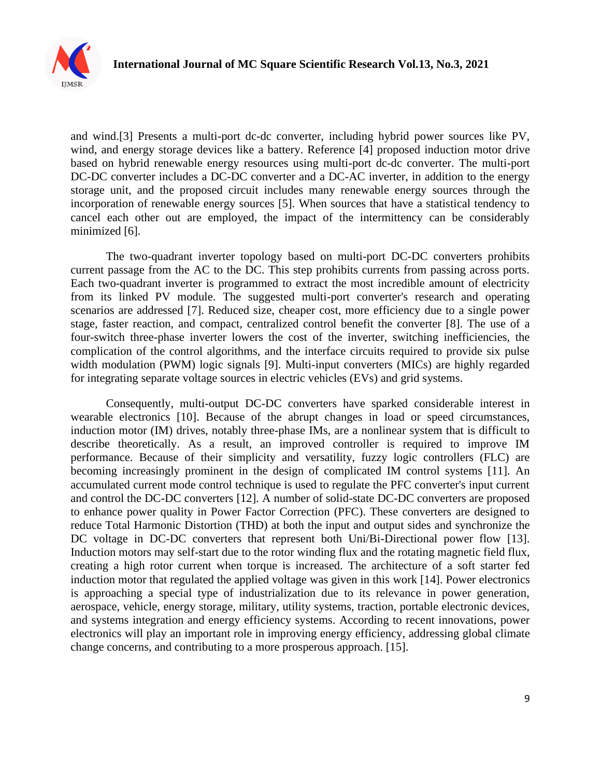

and wind.[3] Presents a multi-port dc-dc converter, including hybrid power sources like PV, wind, and energy storage devices like a battery. Reference [4] proposed induction motor drive based on hybrid renewable energy resources using multi-port dc-dc converter. The multi-port DC-DC converter includes a DC-DC converter and a DC-AC inverter, in addition to the energy storage unit, and the proposed circuit includes many renewable energy sources through the incorporation of renewable energy sources [5]. When sources that have a statistical tendency to cancel each other out are employed, the impact of the intermittency can be considerably minimized [6].

The two-quadrant inverter topology based on multi-port DC-DC converters prohibits current passage from the AC to the DC. This step prohibits currents from passing across ports. Each two-quadrant inverter is programmed to extract the most incredible amount of electricity from its linked PV module. The suggested multi-port converter's research and operating scenarios are addressed [7]. Reduced size, cheaper cost, more efficiency due to a single power stage, faster reaction, and compact, centralized control benefit the converter [8]. The use of a four-switch three-phase inverter lowers the cost of the inverter, switching inefficiencies, the complication of the control algorithms, and the interface circuits required to provide six pulse width modulation (PWM) logic signals [9]. Multi-input converters (MICs) are highly regarded for integrating separate voltage sources in electric vehicles (EVs) and grid systems.

Consequently, multi-output DC-DC converters have sparked considerable interest in wearable electronics [10]. Because of the abrupt changes in load or speed circumstances, induction motor (IM) drives, notably three-phase IMs, are a nonlinear system that is difficult to describe theoretically. As a result, an improved controller is required to improve IM performance. Because of their simplicity and versatility, fuzzy logic controllers (FLC) are becoming increasingly prominent in the design of complicated IM control systems [11]. An accumulated current mode control technique is used to regulate the PFC converter's input current and control the DC-DC converters [12]. A number of solid-state DC-DC converters are proposed to enhance power quality in Power Factor Correction (PFC). These converters are designed to reduce Total Harmonic Distortion (THD) at both the input and output sides and synchronize the DC voltage in DC-DC converters that represent both Uni/Bi-Directional power flow [13]. Induction motors may self-start due to the rotor winding flux and the rotating magnetic field flux, creating a high rotor current when torque is increased. The architecture of a soft starter fed induction motor that regulated the applied voltage was given in this work [14]. Power electronics is approaching a special type of industrialization due to its relevance in power generation, aerospace, vehicle, energy storage, military, utility systems, traction, portable electronic devices, and systems integration and energy efficiency systems. According to recent innovations, power electronics will play an important role in improving energy efficiency, addressing global climate change concerns, and contributing to a more prosperous approach. [15].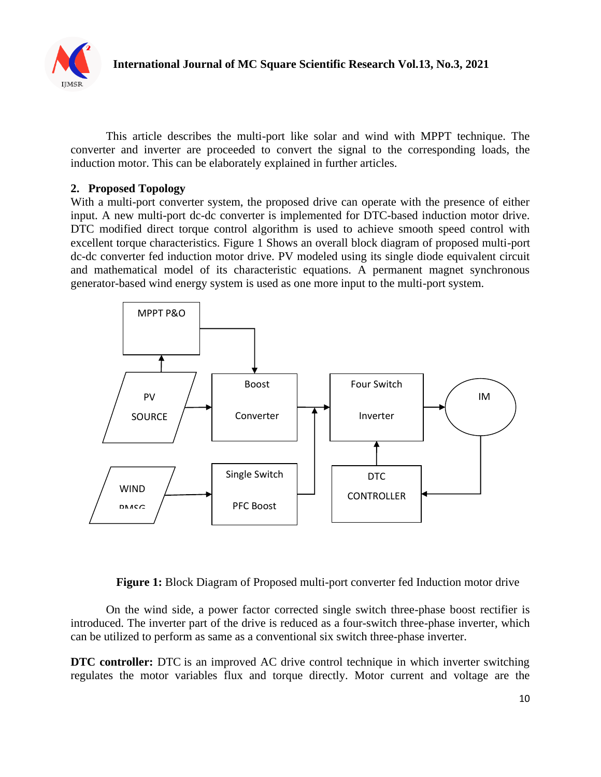

This article describes the multi-port like solar and wind with MPPT technique. The converter and inverter are proceeded to convert the signal to the corresponding loads, the induction motor. This can be elaborately explained in further articles.

# **2. Proposed Topology**

With a multi-port converter system, the proposed drive can operate with the presence of either input. A new multi-port dc-dc converter is implemented for DTC-based induction motor drive. DTC modified direct torque control algorithm is used to achieve smooth speed control with excellent torque characteristics. Figure 1 Shows an overall block diagram of proposed multi-port dc-dc converter fed induction motor drive. PV modeled using its single diode equivalent circuit and mathematical model of its characteristic equations. A permanent magnet synchronous generator-based wind energy system is used as one more input to the multi-port system.



**Figure 1:** Block Diagram of Proposed multi-port converter fed Induction motor drive

On the wind side, a power factor corrected single switch three-phase boost rectifier is introduced. The inverter part of the drive is reduced as a four-switch three-phase inverter, which can be utilized to perform as same as a conventional six switch three-phase inverter.

**DTC controller:** DTC is an improved AC drive control technique in which inverter switching regulates the motor variables flux and torque directly. Motor current and voltage are the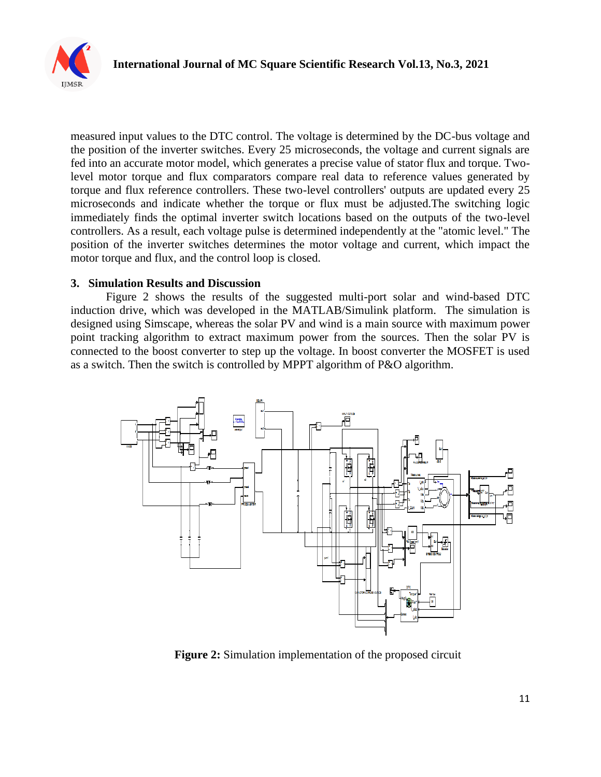

measured input values to the DTC control. The voltage is determined by the DC-bus voltage and the position of the inverter switches. Every 25 microseconds, the voltage and current signals are fed into an accurate motor model, which generates a precise value of stator flux and torque. Twolevel motor torque and flux comparators compare real data to reference values generated by torque and flux reference controllers. These two-level controllers' outputs are updated every 25 microseconds and indicate whether the torque or flux must be adjusted.The switching logic immediately finds the optimal inverter switch locations based on the outputs of the two-level controllers. As a result, each voltage pulse is determined independently at the "atomic level." The position of the inverter switches determines the motor voltage and current, which impact the motor torque and flux, and the control loop is closed.

#### **3. Simulation Results and Discussion**

Figure 2 shows the results of the suggested multi-port solar and wind-based DTC induction drive, which was developed in the MATLAB/Simulink platform. The simulation is designed using Simscape, whereas the solar PV and wind is a main source with maximum power point tracking algorithm to extract maximum power from the sources. Then the solar PV is connected to the boost converter to step up the voltage. In boost converter the MOSFET is used as a switch. Then the switch is controlled by MPPT algorithm of P&O algorithm.



**Figure 2:** Simulation implementation of the proposed circuit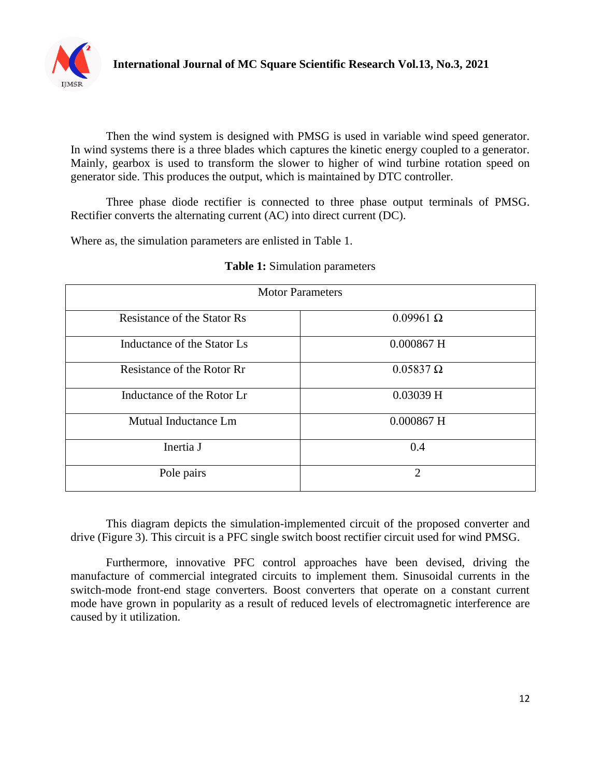

Then the wind system is designed with PMSG is used in variable wind speed generator. In wind systems there is a three blades which captures the kinetic energy coupled to a generator. Mainly, gearbox is used to transform the slower to higher of wind turbine rotation speed on generator side. This produces the output, which is maintained by DTC controller.

Three phase diode rectifier is connected to three phase output terminals of PMSG. Rectifier converts the alternating current (AC) into direct current (DC).

Where as, the simulation parameters are enlisted in Table 1.

| <b>Motor Parameters</b>     |                  |
|-----------------------------|------------------|
| Resistance of the Stator Rs | $0.09961 \Omega$ |
| Inductance of the Stator Ls | $0.000867$ H     |
| Resistance of the Rotor Rr  | $0.05837 \Omega$ |
| Inductance of the Rotor Lr  | $0.03039$ H      |
| Mutual Inductance Lm        | $0.000867$ H     |
| Inertia J                   | 0.4              |
| Pole pairs                  | $\overline{2}$   |

## **Table 1:** Simulation parameters

This diagram depicts the simulation-implemented circuit of the proposed converter and drive (Figure 3). This circuit is a PFC single switch boost rectifier circuit used for wind PMSG.

Furthermore, innovative PFC control approaches have been devised, driving the manufacture of commercial integrated circuits to implement them. Sinusoidal currents in the switch-mode front-end stage converters. Boost converters that operate on a constant current mode have grown in popularity as a result of reduced levels of electromagnetic interference are caused by it utilization.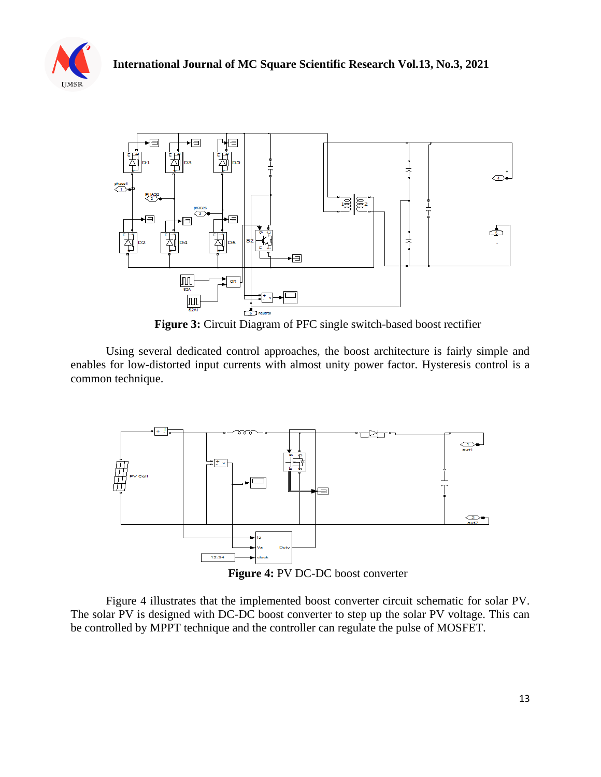



**Figure 3:** Circuit Diagram of PFC single switch-based boost rectifier

Using several dedicated control approaches, the boost architecture is fairly simple and enables for low-distorted input currents with almost unity power factor. Hysteresis control is a common technique.



**Figure 4:** PV DC-DC boost converter

Figure 4 illustrates that the implemented boost converter circuit schematic for solar PV. The solar PV is designed with DC-DC boost converter to step up the solar PV voltage. This can be controlled by MPPT technique and the controller can regulate the pulse of MOSFET.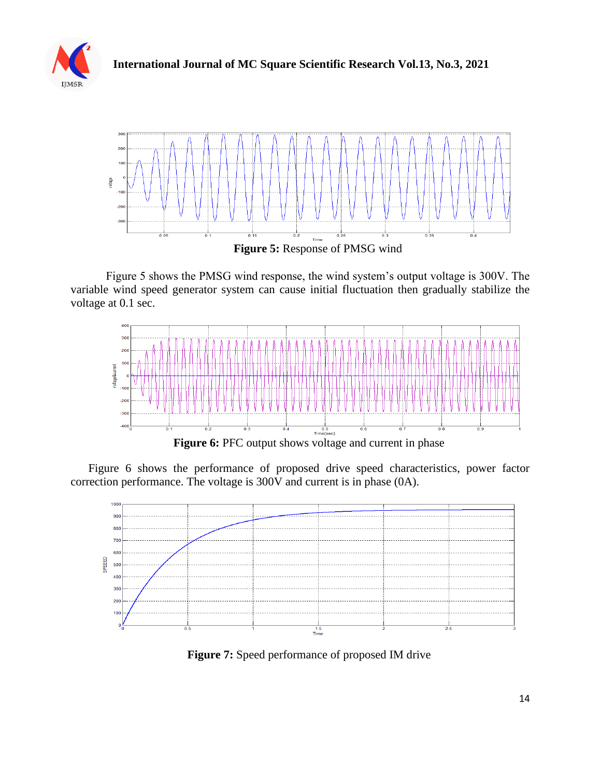



Figure 5 shows the PMSG wind response, the wind system's output voltage is 300V. The variable wind speed generator system can cause initial fluctuation then gradually stabilize the voltage at 0.1 sec.



**Figure 6:** PFC output shows voltage and current in phase

Figure 6 shows the performance of proposed drive speed characteristics, power factor correction performance. The voltage is 300V and current is in phase (0A).



**Figure 7:** Speed performance of proposed IM drive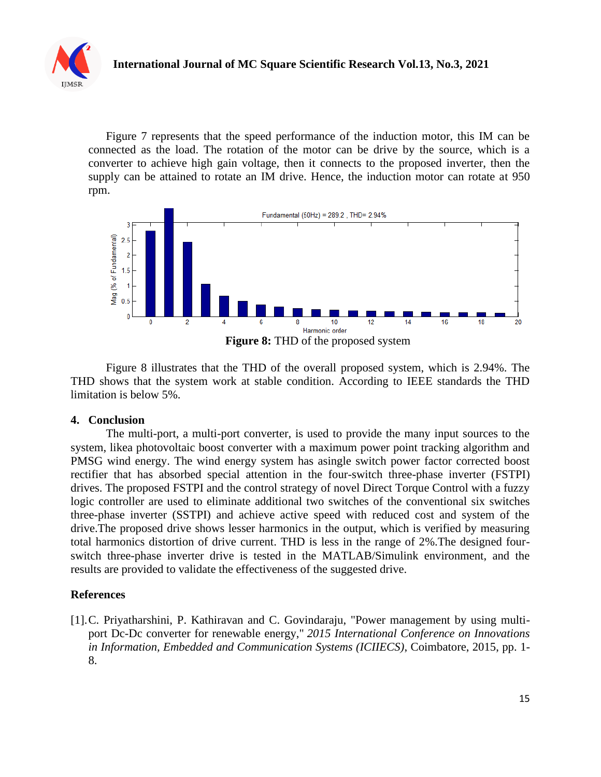

Figure 7 represents that the speed performance of the induction motor, this IM can be connected as the load. The rotation of the motor can be drive by the source, which is a converter to achieve high gain voltage, then it connects to the proposed inverter, then the supply can be attained to rotate an IM drive. Hence, the induction motor can rotate at 950 rpm.



Figure 8 illustrates that the THD of the overall proposed system, which is 2.94%. The THD shows that the system work at stable condition. According to IEEE standards the THD limitation is below 5%.

## **4. Conclusion**

The multi-port, a multi-port converter, is used to provide the many input sources to the system, likea photovoltaic boost converter with a maximum power point tracking algorithm and PMSG wind energy. The wind energy system has asingle switch power factor corrected boost rectifier that has absorbed special attention in the four-switch three-phase inverter (FSTPI) drives. The proposed FSTPI and the control strategy of novel Direct Torque Control with a fuzzy logic controller are used to eliminate additional two switches of the conventional six switches three-phase inverter (SSTPI) and achieve active speed with reduced cost and system of the drive.The proposed drive shows lesser harmonics in the output, which is verified by measuring total harmonics distortion of drive current. THD is less in the range of 2%.The designed fourswitch three-phase inverter drive is tested in the MATLAB/Simulink environment, and the results are provided to validate the effectiveness of the suggested drive.

## **References**

[1].C. Priyatharshini, P. Kathiravan and C. Govindaraju, "Power management by using multiport Dc-Dc converter for renewable energy," *2015 International Conference on Innovations in Information, Embedded and Communication Systems (ICIIECS)*, Coimbatore, 2015, pp. 1- 8.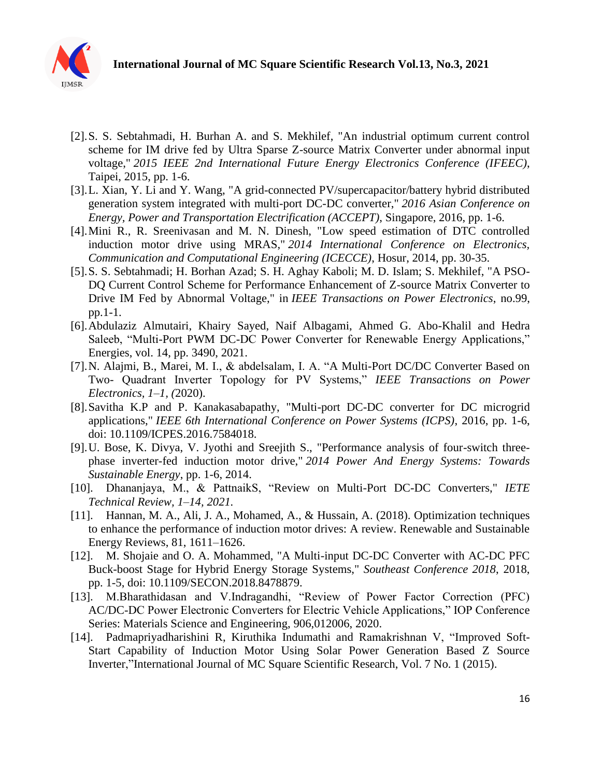

- [2].S. S. Sebtahmadi, H. Burhan A. and S. Mekhilef, "An industrial optimum current control scheme for IM drive fed by Ultra Sparse Z-source Matrix Converter under abnormal input voltage," *2015 IEEE 2nd International Future Energy Electronics Conference (IFEEC)*, Taipei, 2015, pp. 1-6.
- [3].L. Xian, Y. Li and Y. Wang, "A grid-connected PV/supercapacitor/battery hybrid distributed generation system integrated with multi-port DC-DC converter," *2016 Asian Conference on Energy, Power and Transportation Electrification (ACCEPT)*, Singapore, 2016, pp. 1-6.
- [4].Mini R., R. Sreenivasan and M. N. Dinesh, "Low speed estimation of DTC controlled induction motor drive using MRAS," *2014 International Conference on Electronics, Communication and Computational Engineering (ICECCE)*, Hosur, 2014, pp. 30-35.
- [5].S. S. Sebtahmadi; H. Borhan Azad; S. H. Aghay Kaboli; M. D. Islam; S. Mekhilef, "A PSO-DQ Current Control Scheme for Performance Enhancement of Z-source Matrix Converter to Drive IM Fed by Abnormal Voltage," in *IEEE Transactions on Power Electronics*, no.99, pp.1-1.
- [6].Abdulaziz Almutairi, Khairy Sayed, Naif Albagami, Ahmed G. Abo-Khalil and Hedra Saleeb, "Multi-Port PWM DC-DC Power Converter for Renewable Energy Applications," Energies, vol. 14, pp. 3490, 2021.
- [7].N. Alajmi, B., Marei, M. I., & abdelsalam, I. A. "A Multi-Port DC/DC Converter Based on Two- Quadrant Inverter Topology for PV Systems," *IEEE Transactions on Power Electronics, 1–1, (*2020).
- [8].Savitha K.P and P. Kanakasabapathy, "Multi-port DC-DC converter for DC microgrid applications," *IEEE 6th International Conference on Power Systems (ICPS)*, 2016, pp. 1-6, doi: 10.1109/ICPES.2016.7584018.
- [9].U. Bose, K. Divya, V. Jyothi and Sreejith S., "Performance analysis of four-switch threephase inverter-fed induction motor drive," *2014 Power And Energy Systems: Towards Sustainable Energy*, pp. 1-6, 2014.
- [10]. Dhananjaya, M., & PattnaikS, "Review on Multi-Port DC-DC Converters," *IETE Technical Review, 1–14, 2021.*
- [11]. Hannan, M. A., Ali, J. A., Mohamed, A., & Hussain, A. (2018). Optimization techniques to enhance the performance of induction motor drives: A review. Renewable and Sustainable Energy Reviews, 81, 1611–1626.
- [12]. M. Shojaie and O. A. Mohammed, "A Multi-input DC-DC Converter with AC-DC PFC Buck-boost Stage for Hybrid Energy Storage Systems," *Southeast Conference 2018*, 2018, pp. 1-5, doi: 10.1109/SECON.2018.8478879.
- [13]. M.Bharathidasan and V.Indragandhi, "Review of Power Factor Correction (PFC) AC/DC-DC Power Electronic Converters for Electric Vehicle Applications," IOP Conference Series: Materials Science and Engineering, 906,012006, 2020.
- [14]. Padmapriyadharishini R, Kiruthika Indumathi and Ramakrishnan V, "Improved Soft-Start Capability of Induction Motor Using Solar Power Generation Based Z Source Inverter,"International Journal of MC Square Scientific Research, [Vol. 7 No. 1 \(2015\).](http://ijmsr.org/index.php/ijmsr/issue/view/8)